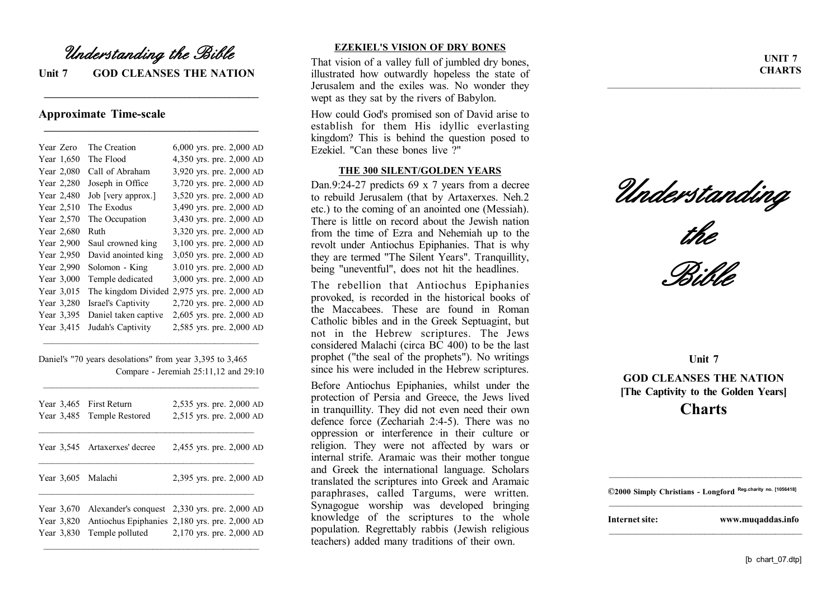## *Understanding the Bible*

**Unit 7 GOD CLEANSES THE NATION**

**\_\_\_\_\_\_\_\_\_\_\_\_\_\_\_\_\_\_\_\_\_\_\_\_\_\_\_\_\_\_\_\_\_\_\_\_\_\_\_\_\_\_\_**

**\_\_\_\_\_\_\_\_\_\_\_\_\_\_\_\_\_\_\_\_\_\_\_\_\_\_\_\_\_\_\_\_\_\_\_\_\_\_\_\_\_\_\_**

## **Approximate Time-scale**

| Year Zero  | The Creation         | $6,000$ yrs. pre. 2,000 AD |
|------------|----------------------|----------------------------|
| Year 1,650 | The Flood            | 4,350 yrs. pre. 2,000 AD   |
| Year 2,080 | Call of Abraham      | 3,920 yrs. pre. 2,000 AD   |
| Year 2,280 | Joseph in Office     | 3,720 yrs. pre. 2,000 AD   |
| Year 2,480 | Job [very approx.]   | 3,520 yrs. pre. 2,000 AD   |
| Year 2,510 | The Exodus           | 3,490 yrs. pre. 2,000 AD   |
| Year 2,570 | The Occupation       | 3,430 yrs. pre. 2,000 AD   |
| Year 2,680 | Ruth                 | 3,320 yrs. pre. 2,000 AD   |
| Year 2,900 | Saul crowned king    | 3,100 yrs. pre. 2,000 AD   |
| Year 2,950 | David anointed king  | 3,050 yrs. pre. 2,000 AD   |
| Year 2,990 | Solomon - King       | 3.010 yrs. pre. 2,000 AD   |
| Year 3,000 | Temple dedicated     | 3,000 yrs. pre. 2,000 AD   |
| Year 3,015 | The kingdom Divided  | 2,975 yrs. pre. 2,000 AD   |
| Year 3,280 | Israel's Captivity   | 2,720 yrs. pre. 2,000 AD   |
| Year 3,395 | Daniel taken captive | 2,605 yrs. pre. 2,000 AD   |
| Year 3,415 | Judah's Captivity    | 2,585 yrs. pre. 2,000 AD   |

Daniel's "70 years desolations" from year 3,395 to 3,465 Compare - Jeremiah 25:11,12 and 29:10

\_\_\_\_\_\_\_\_\_\_\_\_\_\_\_\_\_\_\_\_\_\_\_\_\_\_\_\_\_\_\_\_\_\_\_\_\_\_\_\_\_\_\_\_\_\_\_\_

\_\_\_\_\_\_\_\_\_\_\_\_\_\_\_\_\_\_\_\_\_\_\_\_\_\_\_\_\_\_\_\_\_\_\_\_\_\_\_\_\_\_\_\_\_\_\_\_

|                                        | Year 3,465 First Return<br>Year 3,485 Temple Restored | 2,535 yrs. pre. 2,000 AD<br>2,515 yrs. pre. 2,000 AD                                                                       |
|----------------------------------------|-------------------------------------------------------|----------------------------------------------------------------------------------------------------------------------------|
|                                        | Year 3,545 Artaxerxes' decree                         | 2,455 yrs. pre. 2,000 AD                                                                                                   |
| Year 3,605 Malachi                     |                                                       | 2,395 yrs. pre. 2,000 AD                                                                                                   |
| Year 3,670<br>Year 3,820<br>Year 3,830 | Temple polluted                                       | Alexander's conquest 2,330 yrs. pre. 2,000 AD<br>Antiochus Epiphanies 2,180 yrs. pre. 2,000 AD<br>2,170 yrs. pre. 2,000 AD |

## **EZEKIEL'S VISION OF DRY BONES**

That vision of a valley full of jumbled dry bones, illustrated how outwardly hopeless the state of Jerusalem and the exiles was. No wonder they wept as they sat by the rivers of Babylon.

How could God's promised son of David arise to establish for them His idyllic everlasting kingdom? This is behind the question posed to Ezekiel. "Can these bones live ?"

## **THE 300 SILENT/GOLDEN YEARS**

Dan.9:24-27 predicts 69 x 7 years from a decree to rebuild Jerusalem (that by Artaxerxes. Neh.2 etc.) to the coming of an anointed one (Messiah). There is little on record about the Jewish nation from the time of Ezra and Nehemiah up to the revolt under Antiochus Epiphanies. That is why they are termed "The Silent Years". Tranquillity, being "uneventful", does not hit the headlines.

The rebellion that Antiochus Epiphanies provoked, is recorded in the historical books of the Maccabees. These are found in Roman Catholic bibles and in the Greek Septuagint, but not in the Hebrew scriptures. The Jews considered Malachi (circa  $\overline{BC}$  400) to be the last prophet ("the seal of the prophets"). No writings since his were included in the Hebrew scriptures.

Before Antiochus Epiphanies, whilst under the protection of Persia and Greece, the Jews lived in tranquillity. They did not even need their own defence force (Zechariah 2:4-5). There was no oppression or interference in their culture or religion. They were not affected by wars or internal strife. Aramaic was their mother tongue and Greek the international language. Scholars translated the scriptures into Greek and Aramaic paraphrases, called Targums, were written. Synagogue worship was developed bringing knowledge of the scriptures to the whole population. Regrettably rabbis (Jewish religious teachers) added many traditions of their own.

**UNIT 7 CHARTS**

*Understanding*

\_\_\_\_\_\_\_\_\_\_\_\_\_\_\_\_\_\_\_\_\_\_\_\_\_\_\_\_\_\_\_\_\_\_\_\_\_\_\_\_\_\_\_



*Bible*

**Unit 7 GOD CLEANSES THE NATION [The Captivity to the Golden Years]**

**Charts**



\_\_\_\_\_\_\_\_\_\_\_\_\_\_\_\_\_\_\_\_\_\_\_\_\_\_\_\_\_\_\_\_\_\_\_\_\_\_\_\_\_\_\_